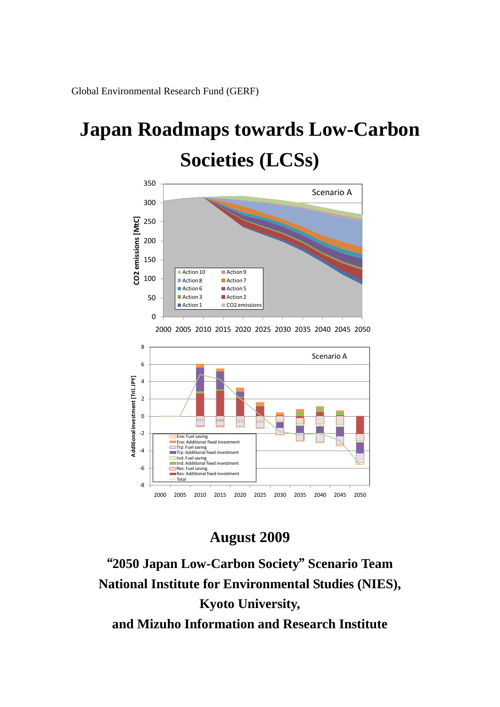Global Environmental Research Fund (GERF)

# **Japan Roadmaps towards Low-Carbon Societies (LCSs)**



-8 -6 -4 -2 0 2 4 6 8 2000 2005 2010 2015 2020 2025 2030 2035 2040 2045 2050<br>
2000 2005 2010 2015 2020 2025 2030 2035 2040 2045 2050 **Ene: Fuel saving Ene: Additional fixed in** Trp: Fuel saving Trp: Additional fixed investment Ind: Fuel saving Ind: Additional fixed investment Res: Fuel saving Res: Additional fixed investment Total Scenario A

# **August 2009**

"**2050 Japan Low-Carbon Society**" **Scenario Team National Institute for Environmental Studies (NIES), Kyoto University, and Mizuho Information and Research Institute**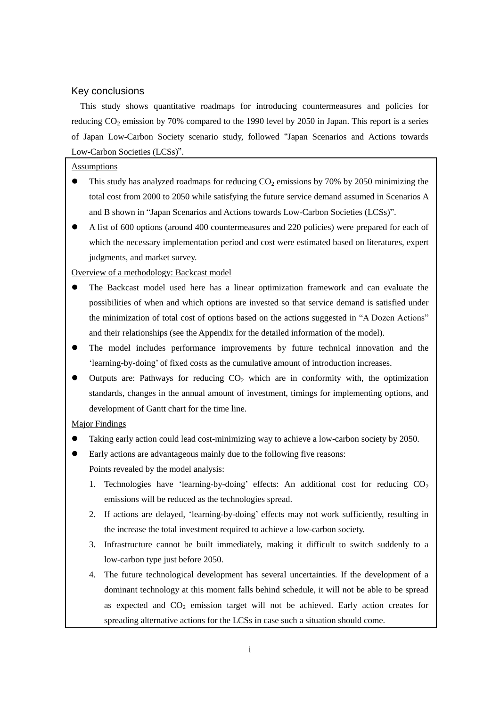# Key conclusions

This study shows quantitative roadmaps for introducing countermeasures and policies for reducing  $CO<sub>2</sub>$  emission by 70% compared to the 1990 level by 2050 in Japan. This report is a series of Japan Low-Carbon Society scenario study, followed "Japan Scenarios and Actions towards Low-Carbon Societies (LCSs)".

#### **Assumptions**

- This study has analyzed roadmaps for reducing  $CO<sub>2</sub>$  emissions by 70% by 2050 minimizing the total cost from 2000 to 2050 while satisfying the future service demand assumed in Scenarios A and B shown in "Japan Scenarios and Actions towards Low-Carbon Societies (LCSs)".
- A list of 600 options (around 400 countermeasures and 220 policies) were prepared for each of which the necessary implementation period and cost were estimated based on literatures, expert judgments, and market survey.

#### Overview of a methodology: Backcast model

- The Backcast model used here has a linear optimization framework and can evaluate the possibilities of when and which options are invested so that service demand is satisfied under the minimization of total cost of options based on the actions suggested in "A Dozen Actions" and their relationships (see the Appendix for the detailed information of the model).
- The model includes performance improvements by future technical innovation and the "learning-by-doing" of fixed costs as the cumulative amount of introduction increases.
- Outputs are: Pathways for reducing  $CO<sub>2</sub>$  which are in conformity with, the optimization standards, changes in the annual amount of investment, timings for implementing options, and development of Gantt chart for the time line.

#### Major Findings

- Taking early action could lead cost-minimizing way to achieve a low-carbon society by 2050.
- Early actions are advantageous mainly due to the following five reasons:
	- Points revealed by the model analysis:
	- 1. Technologies have 'learning-by-doing' effects: An additional cost for reducing  $CO<sub>2</sub>$ emissions will be reduced as the technologies spread.
	- 2. If actions are delayed, "learning-by-doing" effects may not work sufficiently, resulting in the increase the total investment required to achieve a low-carbon society.
	- 3. Infrastructure cannot be built immediately, making it difficult to switch suddenly to a low-carbon type just before 2050.
	- 4. The future technological development has several uncertainties. If the development of a dominant technology at this moment falls behind schedule, it will not be able to be spread as expected and  $CO<sub>2</sub>$  emission target will not be achieved. Early action creates for spreading alternative actions for the LCSs in case such a situation should come.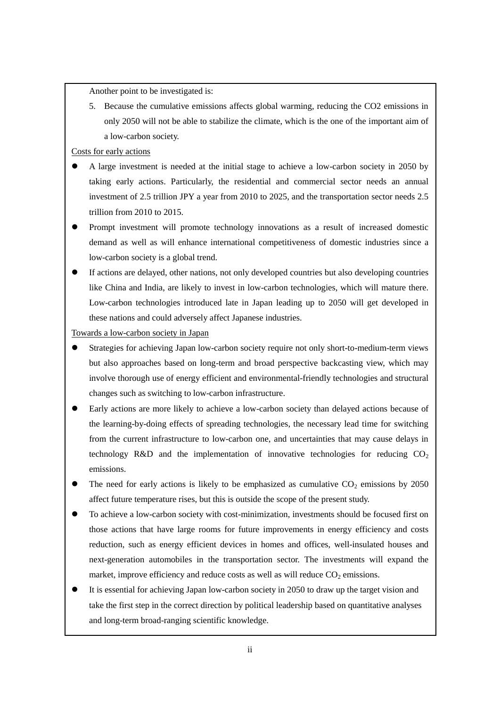Another point to be investigated is:

5. Because the cumulative emissions affects global warming, reducing the CO2 emissions in only 2050 will not be able to stabilize the climate, which is the one of the important aim of a low-carbon society.

Costs for early actions

- A large investment is needed at the initial stage to achieve a low-carbon society in 2050 by taking early actions. Particularly, the residential and commercial sector needs an annual investment of 2.5 trillion JPY a year from 2010 to 2025, and the transportation sector needs 2.5 trillion from 2010 to 2015.
- Prompt investment will promote technology innovations as a result of increased domestic demand as well as will enhance international competitiveness of domestic industries since a low-carbon society is a global trend.
- If actions are delayed, other nations, not only developed countries but also developing countries like China and India, are likely to invest in low-carbon technologies, which will mature there. Low-carbon technologies introduced late in Japan leading up to 2050 will get developed in these nations and could adversely affect Japanese industries.

Towards a low-carbon society in Japan

- Strategies for achieving Japan low-carbon society require not only short-to-medium-term views but also approaches based on long-term and broad perspective backcasting view, which may involve thorough use of energy efficient and environmental-friendly technologies and structural changes such as switching to low-carbon infrastructure.
- Early actions are more likely to achieve a low-carbon society than delayed actions because of the learning-by-doing effects of spreading technologies, the necessary lead time for switching from the current infrastructure to low-carbon one, and uncertainties that may cause delays in technology R&D and the implementation of innovative technologies for reducing  $CO<sub>2</sub>$ emissions.
- The need for early actions is likely to be emphasized as cumulative  $CO<sub>2</sub>$  emissions by 2050 affect future temperature rises, but this is outside the scope of the present study.
- To achieve a low-carbon society with cost-minimization, investments should be focused first on those actions that have large rooms for future improvements in energy efficiency and costs reduction, such as energy efficient devices in homes and offices, well-insulated houses and next-generation automobiles in the transportation sector. The investments will expand the market, improve efficiency and reduce costs as well as will reduce  $CO<sub>2</sub>$  emissions.
- It is essential for achieving Japan low-carbon society in 2050 to draw up the target vision and take the first step in the correct direction by political leadership based on quantitative analyses and long-term broad-ranging scientific knowledge.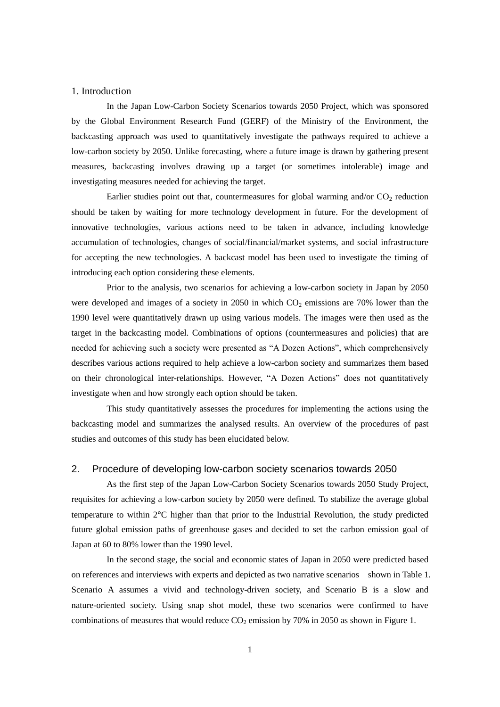#### 1. Introduction

In the Japan Low-Carbon Society Scenarios towards 2050 Project, which was sponsored by the Global Environment Research Fund (GERF) of the Ministry of the Environment, the backcasting approach was used to quantitatively investigate the pathways required to achieve a low-carbon society by 2050. Unlike forecasting, where a future image is drawn by gathering present measures, backcasting involves drawing up a target (or sometimes intolerable) image and investigating measures needed for achieving the target.

Earlier studies point out that, countermeasures for global warming and/or  $CO<sub>2</sub>$  reduction should be taken by waiting for more technology development in future. For the development of innovative technologies, various actions need to be taken in advance, including knowledge accumulation of technologies, changes of social/financial/market systems, and social infrastructure for accepting the new technologies. A backcast model has been used to investigate the timing of introducing each option considering these elements.

Prior to the analysis, two scenarios for achieving a low-carbon society in Japan by 2050 were developed and images of a society in  $2050$  in which  $CO<sub>2</sub>$  emissions are 70% lower than the 1990 level were quantitatively drawn up using various models. The images were then used as the target in the backcasting model. Combinations of options (countermeasures and policies) that are needed for achieving such a society were presented as "A Dozen Actions", which comprehensively describes various actions required to help achieve a low-carbon society and summarizes them based on their chronological inter-relationships. However, "A Dozen Actions" does not quantitatively investigate when and how strongly each option should be taken.

This study quantitatively assesses the procedures for implementing the actions using the backcasting model and summarizes the analysed results. An overview of the procedures of past studies and outcomes of this study has been elucidated below.

## 2. Procedure of developing low-carbon society scenarios towards 2050

As the first step of the Japan Low-Carbon Society Scenarios towards 2050 Study Project, requisites for achieving a low-carbon society by 2050 were defined. To stabilize the average global temperature to within 2°C higher than that prior to the Industrial Revolution, the study predicted future global emission paths of greenhouse gases and decided to set the carbon emission goal of Japan at 60 to 80% lower than the 1990 level.

In the second stage, the social and economic states of Japan in 2050 were predicted based on references and interviews with experts and depicted as two narrative scenarios shown in [Table 1.](#page-5-0) Scenario A assumes a vivid and technology-driven society, and Scenario B is a slow and nature-oriented society. Using snap shot model, these two scenarios were confirmed to have combinations of measures that would reduce  $CO_2$  emission by 70% in 2050 as shown i[n Figure 1.](#page-5-1)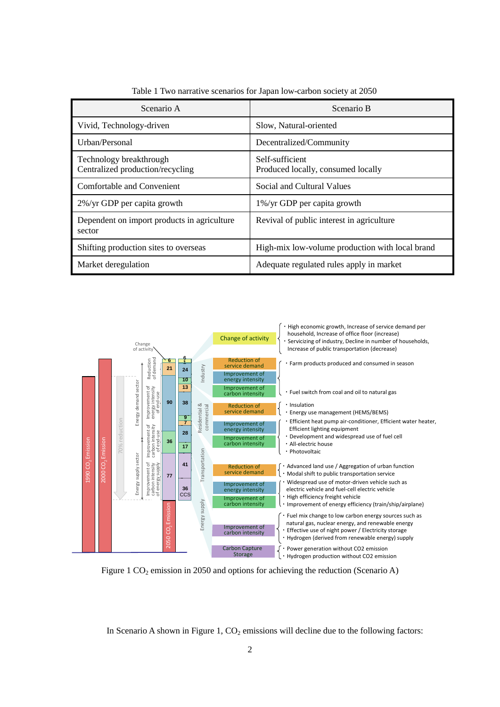<span id="page-5-0"></span>

| Scenario A                                                  | Scenario B                                            |  |
|-------------------------------------------------------------|-------------------------------------------------------|--|
| Vivid, Technology-driven                                    | Slow, Natural-oriented                                |  |
| Urban/Personal                                              | Decentralized/Community                               |  |
| Technology breakthrough<br>Centralized production/recycling | Self-sufficient<br>Produced locally, consumed locally |  |
| Comfortable and Convenient                                  | Social and Cultural Values                            |  |
| 2%/yr GDP per capita growth                                 | 1%/yr GDP per capita growth                           |  |
| Dependent on import products in agriculture<br>sector       | Revival of public interest in agriculture             |  |
| Shifting production sites to overseas                       | High-mix low-volume production with local brand       |  |
| Market deregulation                                         | Adequate regulated rules apply in market              |  |

Table 1 Two narrative scenarios for Japan low-carbon society at 2050



<span id="page-5-1"></span>Figure 1  $CO<sub>2</sub>$  emission in 2050 and options for achieving the reduction (Scenario A)

In Scenario A shown i[n Figure 1,](#page-5-1)  $CO<sub>2</sub>$  emissions will decline due to the following factors: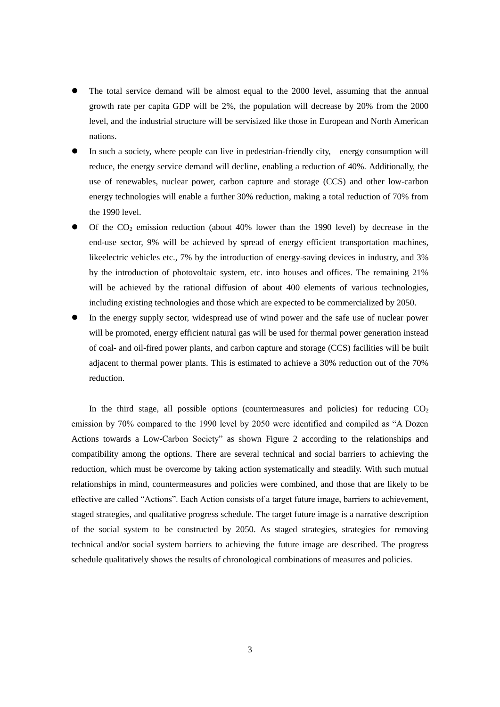- The total service demand will be almost equal to the 2000 level, assuming that the annual growth rate per capita GDP will be 2%, the population will decrease by 20% from the 2000 level, and the industrial structure will be servisized like those in European and North American nations.
- In such a society, where people can live in pedestrian-friendly city, energy consumption will reduce, the energy service demand will decline, enabling a reduction of 40%. Additionally, the use of renewables, nuclear power, carbon capture and storage (CCS) and other low-carbon energy technologies will enable a further 30% reduction, making a total reduction of 70% from the 1990 level.
- Of the  $CO<sub>2</sub>$  emission reduction (about 40% lower than the 1990 level) by decrease in the end-use sector, 9% will be achieved by spread of energy efficient transportation machines, likeelectric vehicles etc., 7% by the introduction of energy-saving devices in industry, and 3% by the introduction of photovoltaic system, etc. into houses and offices. The remaining 21% will be achieved by the rational diffusion of about 400 elements of various technologies, including existing technologies and those which are expected to be commercialized by 2050.
- In the energy supply sector, widespread use of wind power and the safe use of nuclear power will be promoted, energy efficient natural gas will be used for thermal power generation instead of coal- and oil-fired power plants, and carbon capture and storage (CCS) facilities will be built adjacent to thermal power plants. This is estimated to achieve a 30% reduction out of the 70% reduction.

In the third stage, all possible options (countermeasures and policies) for reducing  $CO<sub>2</sub>$ emission by 70% compared to the 1990 level by 2050 were identified and compiled as "A Dozen Actions towards a Low-Carbon Society" as shown [Figure 2](#page-7-0) according to the relationships and compatibility among the options. There are several technical and social barriers to achieving the reduction, which must be overcome by taking action systematically and steadily. With such mutual relationships in mind, countermeasures and policies were combined, and those that are likely to be effective are called "Actions". Each Action consists of a target future image, barriers to achievement, staged strategies, and qualitative progress schedule. The target future image is a narrative description of the social system to be constructed by 2050. As staged strategies, strategies for removing technical and/or social system barriers to achieving the future image are described. The progress schedule qualitatively shows the results of chronological combinations of measures and policies.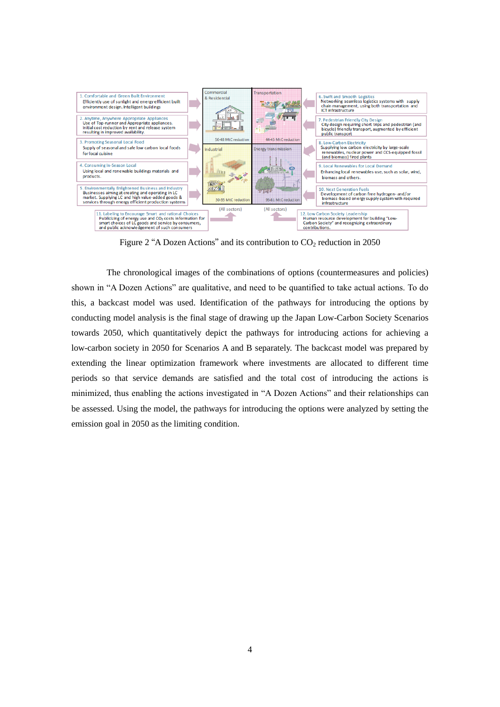

Figure 2 "A Dozen Actions" and its contribution to  $CO_2$  reduction in 2050

<span id="page-7-0"></span>The chronological images of the combinations of options (countermeasures and policies) shown in "A Dozen Actions" are qualitative, and need to be quantified to take actual actions. To do this, a backcast model was used. Identification of the pathways for introducing the options by conducting model analysis is the final stage of drawing up the Japan Low-Carbon Society Scenarios towards 2050, which quantitatively depict the pathways for introducing actions for achieving a low-carbon society in 2050 for Scenarios A and B separately. The backcast model was prepared by extending the linear optimization framework where investments are allocated to different time periods so that service demands are satisfied and the total cost of introducing the actions is minimized, thus enabling the actions investigated in "A Dozen Actions" and their relationships can be assessed. Using the model, the pathways for introducing the options were analyzed by setting the emission goal in 2050 as the limiting condition.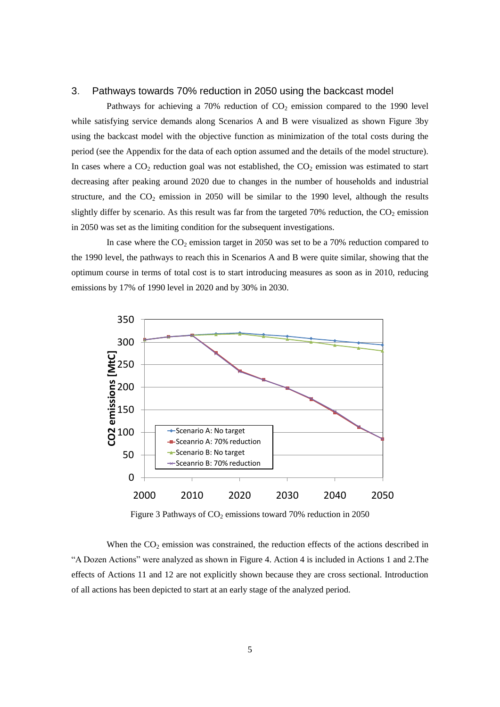# 3. Pathways towards 70% reduction in 2050 using the backcast model

Pathways for achieving a 70% reduction of  $CO<sub>2</sub>$  emission compared to the 1990 level while satisfying service demands along Scenarios A and B were visualized as shown [Figure 3b](#page-8-0)y using the backcast model with the objective function as minimization of the total costs during the period (see the Appendix for the data of each option assumed and the details of the model structure). In cases where a  $CO<sub>2</sub>$  reduction goal was not established, the  $CO<sub>2</sub>$  emission was estimated to start decreasing after peaking around 2020 due to changes in the number of households and industrial structure, and the  $CO_2$  emission in 2050 will be similar to the 1990 level, although the results slightly differ by scenario. As this result was far from the targeted 70% reduction, the  $CO<sub>2</sub>$  emission in 2050 was set as the limiting condition for the subsequent investigations.

In case where the  $CO_2$  emission target in 2050 was set to be a 70% reduction compared to the 1990 level, the pathways to reach this in Scenarios A and B were quite similar, showing that the optimum course in terms of total cost is to start introducing measures as soon as in 2010, reducing emissions by 17% of 1990 level in 2020 and by 30% in 2030.



Figure 3 Pathways of  $CO<sub>2</sub>$  emissions toward 70% reduction in 2050

<span id="page-8-0"></span>When the  $CO<sub>2</sub>$  emission was constrained, the reduction effects of the actions described in "A Dozen Actions" were analyzed as shown in [Figure 4.](#page-9-0) Action 4 is included in Actions 1 and 2.The effects of Actions 11 and 12 are not explicitly shown because they are cross sectional. Introduction of all actions has been depicted to start at an early stage of the analyzed period.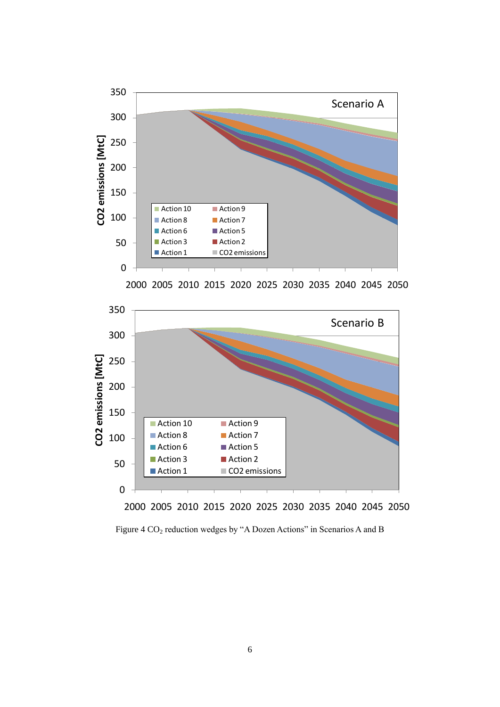





<span id="page-9-0"></span>Figure 4 CO<sub>2</sub> reduction wedges by "A Dozen Actions" in Scenarios A and B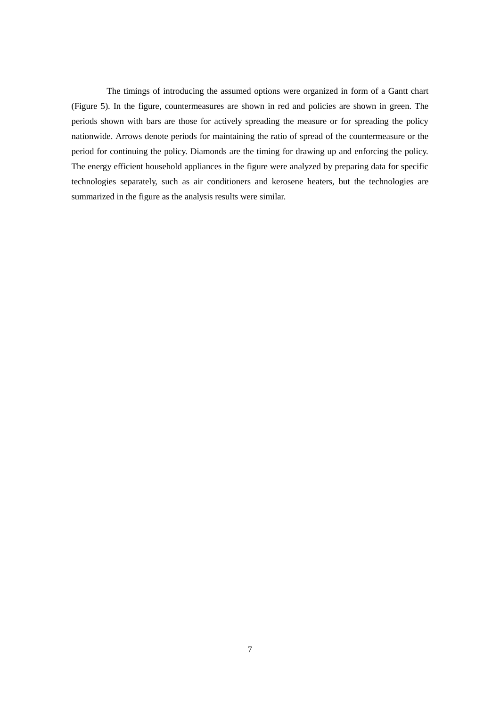The timings of introducing the assumed options were organized in form of a Gantt chart [\(Figure 5\)](#page-11-0). In the figure, countermeasures are shown in red and policies are shown in green. The periods shown with bars are those for actively spreading the measure or for spreading the policy nationwide. Arrows denote periods for maintaining the ratio of spread of the countermeasure or the period for continuing the policy. Diamonds are the timing for drawing up and enforcing the policy. The energy efficient household appliances in the figure were analyzed by preparing data for specific technologies separately, such as air conditioners and kerosene heaters, but the technologies are summarized in the figure as the analysis results were similar.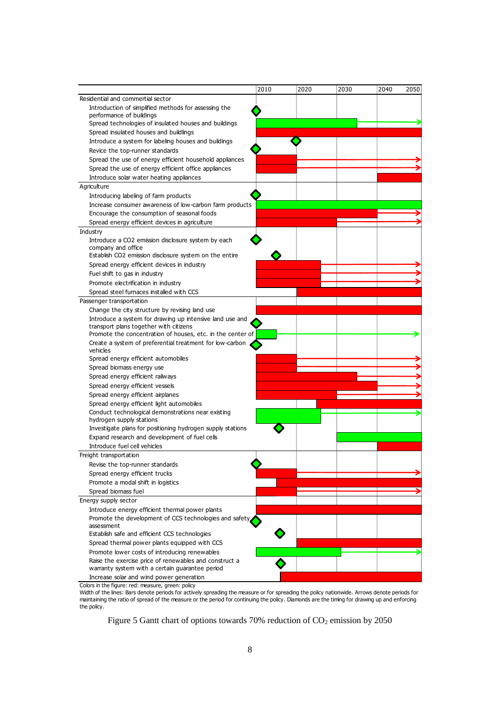|                                                                                  | 2010 | 2020 | 2030 | 2040<br>2050 |
|----------------------------------------------------------------------------------|------|------|------|--------------|
| Residential and commertial sector                                                |      |      |      |              |
| Introduction of simplified methods for assessing the<br>performance of buildings |      |      |      |              |
| Spread technologies of insulated houses and buildings                            |      |      |      |              |
| Spread insulated houses and buildlings                                           |      |      |      |              |
| Introduce a system for labeling houses and buildings                             |      |      |      |              |
| Revice the top-runner standards                                                  |      |      |      |              |
| Spread the use of energy efficient household appliances                          |      |      |      |              |
| Spread the use of energy efficient office appliances                             |      |      |      |              |
| Introduce solar water heating appliances                                         |      |      |      |              |
| Agriculture                                                                      |      |      |      |              |
| Introducing labeling of farm products                                            |      |      |      |              |
| Increase consumer awareness of low-carbon farm products                          |      |      |      |              |
| Encourage the consumption of seasonal foods                                      |      |      |      |              |
|                                                                                  |      |      |      |              |
| Spread energy efficient devices in agriculture                                   |      |      |      |              |
| Industry                                                                         |      |      |      |              |
| Introduce a CO2 emission disclosure system by each<br>company and office         |      |      |      |              |
| Establish CO2 emission disclosure system on the entire                           |      |      |      |              |
| Spread energy efficient devices in industry                                      |      |      |      |              |
| Fuel shift to gas in industry                                                    |      |      |      |              |
| Promote electrification in industry                                              |      |      |      |              |
| Spread steel furnaces installed with CCS                                         |      |      |      |              |
| Passenger transportation                                                         |      |      |      |              |
| Change the city structure by revising land use                                   |      |      |      |              |
| Introduce a system for drawing up intensive land use and                         |      |      |      |              |
| transport plans together with citizens                                           |      |      |      |              |
| Promote the concentration of houses, etc. in the center of                       |      |      |      |              |
| Create a system of preferential treatment for low-carbon<br>vehicles             |      |      |      |              |
| Spread energy efficient automobiles                                              |      |      |      |              |
| Spread biomass energy use                                                        |      |      |      |              |
| Spread energy efficient railways                                                 |      |      |      |              |
| Spread energy efficient vessels                                                  |      |      |      |              |
| Spread energy efficient airplanes                                                |      |      |      |              |
| Spread energy efficient light automobiles                                        |      |      |      |              |
| Conduct technological demonstrations near existing                               |      |      |      |              |
| hydrogen supply stations                                                         |      |      |      |              |
| Investigate plans for positioning hydrogen supply stations                       |      |      |      |              |
| Expand research and development of fuel cells                                    |      |      |      |              |
| Introduce fuel cell vehicles                                                     |      |      |      |              |
| Freight transportation                                                           |      |      |      |              |
| Revise the top-runner standards                                                  |      |      |      |              |
| Spread energy efficient trucks                                                   |      |      |      |              |
| Promote a modal shift in logistics                                               |      |      |      |              |
| Spread biomass fuel                                                              |      |      |      |              |
| Energy supply sector                                                             |      |      |      |              |
| Introduce energy efficient thermal power plants                                  |      |      |      |              |
| Promote the development of CCS technologies and safety                           |      |      |      |              |
| assessment                                                                       |      |      |      |              |
| Establish safe and efficient CCS technologies                                    |      |      |      |              |
| Spread thermal power plants equipped with CCS                                    |      |      |      |              |
| Promote lower costs of introducing renewables                                    |      |      |      |              |
| Raise the exercise price of renewables and construct a                           |      |      |      |              |
| warranty system with a certain guarantee period                                  |      |      |      |              |
| Increase solar and wind power generation                                         |      |      |      |              |

<span id="page-11-0"></span>Colors in the figure: red: measure, green: policy Width of the lines: Bars denote periods for actively spreading the measure or for spreading the policy nationwide. Arrows denote periods for maintaining the ratio of spread of the measure or the period for continuing the policy. Diamonds are the timing for drawing up and enforcing the policy.

Figure 5 Gantt chart of options towards 70% reduction of  $CO<sub>2</sub>$  emission by 2050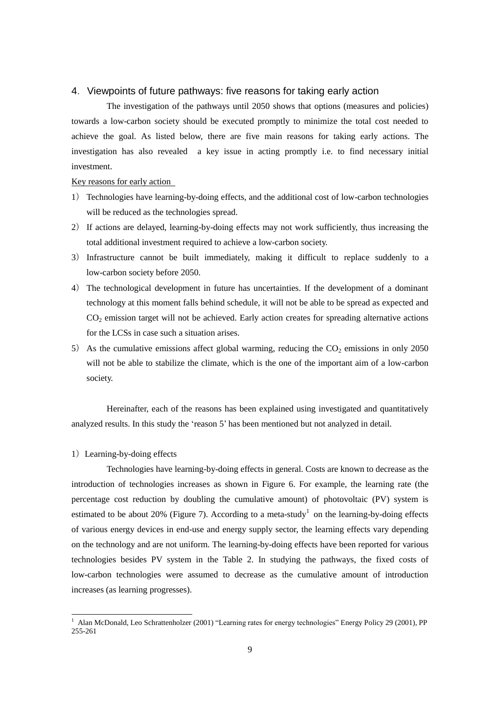# 4.Viewpoints of future pathways: five reasons for taking early action

The investigation of the pathways until 2050 shows that options (measures and policies) towards a low-carbon society should be executed promptly to minimize the total cost needed to achieve the goal. As listed below, there are five main reasons for taking early actions. The investigation has also revealed a key issue in acting promptly i.e. to find necessary initial investment.

#### Key reasons for early action

- 1) Technologies have learning-by-doing effects, and the additional cost of low-carbon technologies will be reduced as the technologies spread.
- 2) If actions are delayed, learning-by-doing effects may not work sufficiently, thus increasing the total additional investment required to achieve a low-carbon society.
- 3) Infrastructure cannot be built immediately, making it difficult to replace suddenly to a low-carbon society before 2050.
- 4) The technological development in future has uncertainties. If the development of a dominant technology at this moment falls behind schedule, it will not be able to be spread as expected and CO<sup>2</sup> emission target will not be achieved. Early action creates for spreading alternative actions for the LCSs in case such a situation arises.
- 5) As the cumulative emissions affect global warming, reducing the  $CO<sub>2</sub>$  emissions in only 2050 will not be able to stabilize the climate, which is the one of the important aim of a low-carbon society.

Hereinafter, each of the reasons has been explained using investigated and quantitatively analyzed results. In this study the "reason 5" has been mentioned but not analyzed in detail.

#### 1) Learning-by-doing effects

-

Technologies have learning-by-doing effects in general. Costs are known to decrease as the introduction of technologies increases as shown in [Figure 6.](#page-13-0) For example, the learning rate (the percentage cost reduction by doubling the cumulative amount) of photovoltaic (PV) system is estimated to be about 20% [\(Figure 7\)](#page-13-1). According to a meta-study<sup>1</sup> on the learning-by-doing effects of various energy devices in end-use and energy supply sector, the learning effects vary depending on the technology and are not uniform. The learning-by-doing effects have been reported for various technologies besides PV system in the [Table 2.](#page-13-2) In studying the pathways, the fixed costs of low-carbon technologies were assumed to decrease as the cumulative amount of introduction increases (as learning progresses).

 $1$  Alan McDonald, Leo Schrattenholzer (2001) "Learning rates for energy technologies" Energy Policy 29 (2001), PP 255-261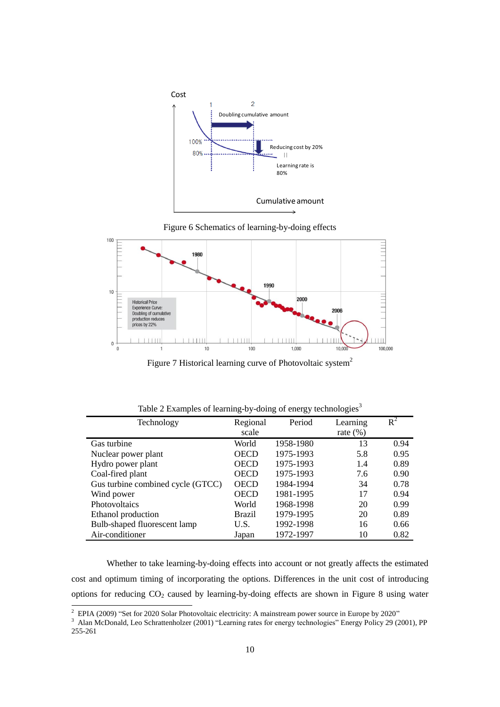

<span id="page-13-0"></span>



Figure 7 Historical learning curve of Photovoltaic system<sup>2</sup>

<span id="page-13-2"></span><span id="page-13-1"></span>

| Technology                        | Regional      | Period    | Learning    | $R^2$ |
|-----------------------------------|---------------|-----------|-------------|-------|
|                                   | scale         |           | rate $(\%)$ |       |
| Gas turbine                       | World         | 1958-1980 | 13          | 0.94  |
| Nuclear power plant               | <b>OECD</b>   | 1975-1993 | 5.8         | 0.95  |
| Hydro power plant                 | <b>OECD</b>   | 1975-1993 | 1.4         | 0.89  |
| Coal-fired plant                  | <b>OECD</b>   | 1975-1993 | 7.6         | 0.90  |
| Gus turbine combined cycle (GTCC) | <b>OECD</b>   | 1984-1994 | 34          | 0.78  |
| Wind power                        | <b>OECD</b>   | 1981-1995 | 17          | 0.94  |
| Photovoltaics                     | World         | 1968-1998 | 20          | 0.99  |
| Ethanol production                | <b>Brazil</b> | 1979-1995 | 20          | 0.89  |
| Bulb-shaped fluorescent lamp      | U.S.          | 1992-1998 | 16          | 0.66  |
| Air-conditioner                   | Japan         | 1972-1997 | 10          | 0.82  |

Table 2 Examples of learning-by-doing of energy technologies<sup>3</sup>

Whether to take learning-by-doing effects into account or not greatly affects the estimated cost and optimum timing of incorporating the options. Differences in the unit cost of introducing options for reducing  $CO_2$  caused by learning-by-doing effects are shown in [Figure 8](#page-14-0) using water

 $\overline{\phantom{a}}$ 

 $2$  EPIA (2009) "Set for 2020 Solar Photovoltaic electricity: A mainstream power source in Europe by 2020"

<sup>&</sup>lt;sup>3</sup> Alan McDonald, Leo Schrattenholzer (2001) "Learning rates for energy technologies" Energy Policy 29 (2001), PP 255-261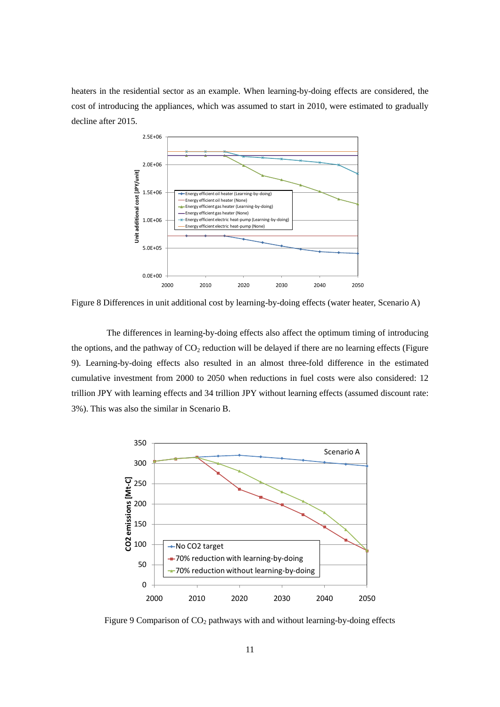heaters in the residential sector as an example. When learning-by-doing effects are considered, the cost of introducing the appliances, which was assumed to start in 2010, were estimated to gradually decline after 2015.



<span id="page-14-0"></span>Figure 8 Differences in unit additional cost by learning-by-doing effects (water heater, Scenario A)

The differences in learning-by-doing effects also affect the optimum timing of introducing the options, and the pathway of  $CO<sub>2</sub>$  reduction will be delayed if there are no learning effects (Figure [9\)](#page-14-1). Learning-by-doing effects also resulted in an almost three-fold difference in the estimated cumulative investment from 2000 to 2050 when reductions in fuel costs were also considered: 12 trillion JPY with learning effects and 34 trillion JPY without learning effects (assumed discount rate: 3%). This was also the similar in Scenario B.



<span id="page-14-1"></span>Figure 9 Comparison of CO<sub>2</sub> pathways with and without learning-by-doing effects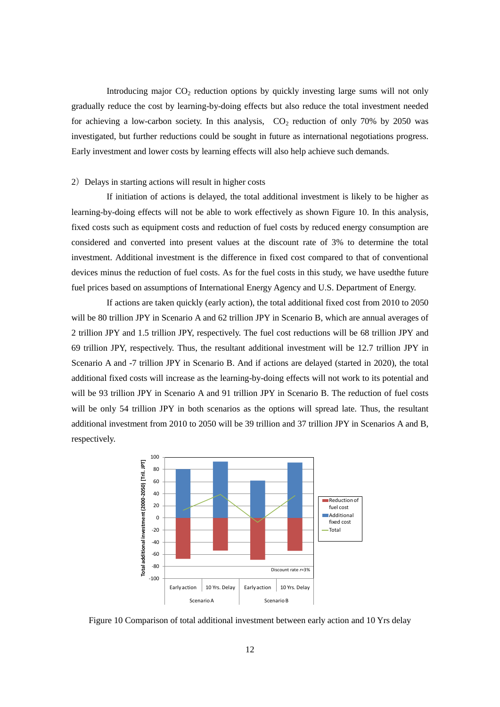Introducing major  $CO<sub>2</sub>$  reduction options by quickly investing large sums will not only gradually reduce the cost by learning-by-doing effects but also reduce the total investment needed for achieving a low-carbon society. In this analysis,  $CO<sub>2</sub>$  reduction of only 70% by 2050 was investigated, but further reductions could be sought in future as international negotiations progress. Early investment and lower costs by learning effects will also help achieve such demands.

#### 2) Delays in starting actions will result in higher costs

If initiation of actions is delayed, the total additional investment is likely to be higher as learning-by-doing effects will not be able to work effectively as shown [Figure 10.](#page-15-0) In this analysis, fixed costs such as equipment costs and reduction of fuel costs by reduced energy consumption are considered and converted into present values at the discount rate of 3% to determine the total investment. Additional investment is the difference in fixed cost compared to that of conventional devices minus the reduction of fuel costs. As for the fuel costs in this study, we have usedthe future fuel prices based on assumptions of International Energy Agency and U.S. Department of Energy.

If actions are taken quickly (early action), the total additional fixed cost from 2010 to 2050 will be 80 trillion JPY in Scenario A and 62 trillion JPY in Scenario B, which are annual averages of 2 trillion JPY and 1.5 trillion JPY, respectively. The fuel cost reductions will be 68 trillion JPY and 69 trillion JPY, respectively. Thus, the resultant additional investment will be 12.7 trillion JPY in Scenario A and -7 trillion JPY in Scenario B. And if actions are delayed (started in 2020), the total additional fixed costs will increase as the learning-by-doing effects will not work to its potential and will be 93 trillion JPY in Scenario A and 91 trillion JPY in Scenario B. The reduction of fuel costs will be only 54 trillion JPY in both scenarios as the options will spread late. Thus, the resultant additional investment from 2010 to 2050 will be 39 trillion and 37 trillion JPY in Scenarios A and B, respectively.



<span id="page-15-0"></span>Figure 10 Comparison of total additional investment between early action and 10 Yrs delay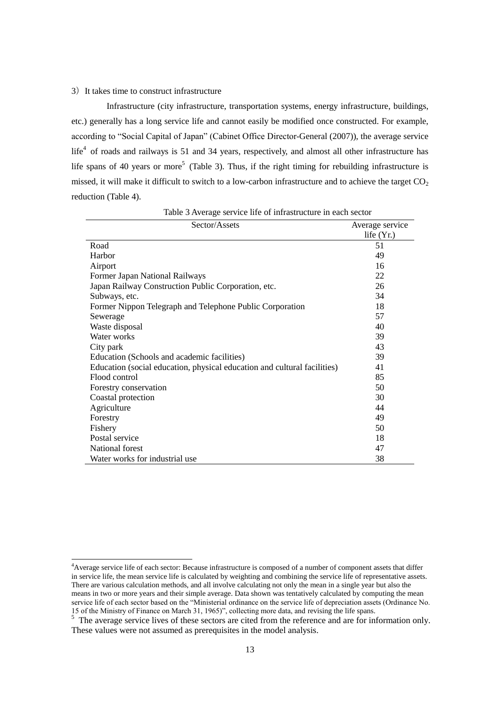#### 3) It takes time to construct infrastructure

-

Infrastructure (city infrastructure, transportation systems, energy infrastructure, buildings, etc.) generally has a long service life and cannot easily be modified once constructed. For example, according to "Social Capital of Japan" (Cabinet Office Director-General (2007)), the average service life<sup>4</sup> of roads and railways is 51 and 34 years, respectively, and almost all other infrastructure has life spans of 40 years or more<sup>5</sup> [\(Table 3\)](#page-16-0). Thus, if the right timing for rebuilding infrastructure is missed, it will make it difficult to switch to a low-carbon infrastructure and to achieve the target  $CO<sub>2</sub>$ reduction (Table 4).

<span id="page-16-0"></span>

| Sector/Assets                                                            | Average service |
|--------------------------------------------------------------------------|-----------------|
|                                                                          | life $(Yr)$ .   |
| Road                                                                     | 51              |
| Harbor                                                                   | 49              |
| Airport                                                                  | 16              |
| Former Japan National Railways                                           | 22              |
| Japan Railway Construction Public Corporation, etc.                      | 26              |
| Subways, etc.                                                            | 34              |
| Former Nippon Telegraph and Telephone Public Corporation                 | 18              |
| Sewerage                                                                 | 57              |
| Waste disposal                                                           | 40              |
| Water works                                                              | 39              |
| City park                                                                | 43              |
| Education (Schools and academic facilities)                              | 39              |
| Education (social education, physical education and cultural facilities) | 41              |
| Flood control                                                            | 85              |
| Forestry conservation                                                    | 50              |
| Coastal protection                                                       | 30              |
| Agriculture                                                              | 44              |
| Forestry                                                                 | 49              |
| Fishery                                                                  | 50              |
| Postal service                                                           | 18              |
| National forest                                                          | 47              |
| Water works for industrial use                                           | 38              |

Table 3 Average service life of infrastructure in each sector

<sup>&</sup>lt;sup>4</sup>Average service life of each sector: Because infrastructure is composed of a number of component assets that differ in service life, the mean service life is calculated by weighting and combining the service life of representative assets. There are various calculation methods, and all involve calculating not only the mean in a single year but also the means in two or more years and their simple average. Data shown was tentatively calculated by computing the mean service life of each sector based on the "Ministerial ordinance on the service life of depreciation assets (Ordinance No. 15 of the Ministry of Finance on March 31, 1965)", collecting more data, and revising the life spans.<br><sup>5</sup> The average service lives of these sectors are cited from the reference and are for information only.

These values were not assumed as prerequisites in the model analysis.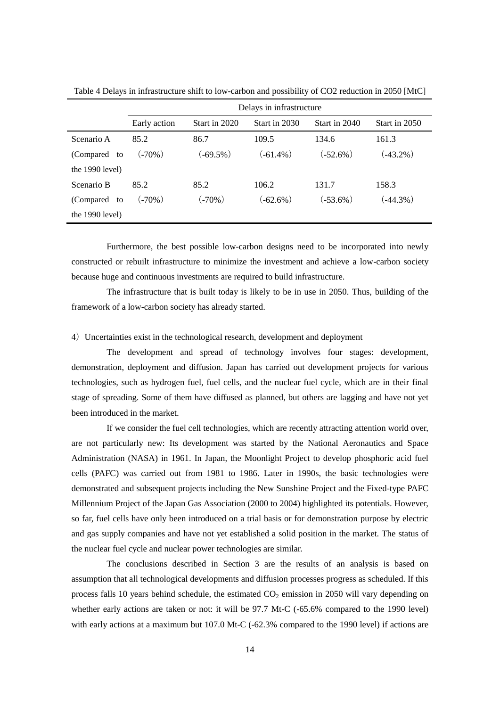|                   | Delays in infrastructure |               |               |               |               |
|-------------------|--------------------------|---------------|---------------|---------------|---------------|
|                   | Early action             | Start in 2020 | Start in 2030 | Start in 2040 | Start in 2050 |
| Scenario A        | 85.2                     | 86.7          | 109.5         | 134.6         | 161.3         |
| (Compared to      | $(.70\%)$                | $(-69.5\%)$   | $(-61.4\%)$   | $(-52.6\%)$   | $(-43.2\%)$   |
| the $1990$ level) |                          |               |               |               |               |
| Scenario B        | 85.2                     | 85.2          | 106.2         | 131.7         | 158.3         |
| (Compared to      | $(.70\%)$                | $(.70\%)$     | $(-62.6\%)$   | $(-53.6\%)$   | $(-44.3\%)$   |
| the $1990$ level) |                          |               |               |               |               |

Table 4 Delays in infrastructure shift to low-carbon and possibility of CO2 reduction in 2050 [MtC]

Furthermore, the best possible low-carbon designs need to be incorporated into newly constructed or rebuilt infrastructure to minimize the investment and achieve a low-carbon society because huge and continuous investments are required to build infrastructure.

The infrastructure that is built today is likely to be in use in 2050. Thus, building of the framework of a low-carbon society has already started.

#### 4)Uncertainties exist in the technological research, development and deployment

The development and spread of technology involves four stages: development, demonstration, deployment and diffusion. Japan has carried out development projects for various technologies, such as hydrogen fuel, fuel cells, and the nuclear fuel cycle, which are in their final stage of spreading. Some of them have diffused as planned, but others are lagging and have not yet been introduced in the market.

If we consider the fuel cell technologies, which are recently attracting attention world over, are not particularly new: Its development was started by the National Aeronautics and Space Administration (NASA) in 1961. In Japan, the Moonlight Project to develop phosphoric acid fuel cells (PAFC) was carried out from 1981 to 1986. Later in 1990s, the basic technologies were demonstrated and subsequent projects including the New Sunshine Project and the Fixed-type PAFC Millennium Project of the Japan Gas Association (2000 to 2004) highlighted its potentials. However, so far, fuel cells have only been introduced on a trial basis or for demonstration purpose by electric and gas supply companies and have not yet established a solid position in the market. The status of the nuclear fuel cycle and nuclear power technologies are similar.

The conclusions described in Section 3 are the results of an analysis is based on assumption that all technological developments and diffusion processes progress as scheduled. If this process falls 10 years behind schedule, the estimated  $CO<sub>2</sub>$  emission in 2050 will vary depending on whether early actions are taken or not: it will be 97.7 Mt-C (-65.6% compared to the 1990 level) with early actions at a maximum but 107.0 Mt-C (-62.3% compared to the 1990 level) if actions are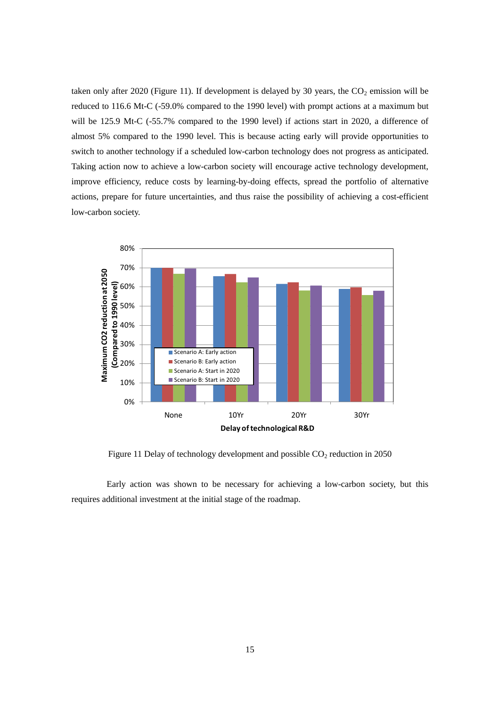taken only after 2020 [\(Figure 11\)](#page-18-0). If development is delayed by 30 years, the  $CO<sub>2</sub>$  emission will be reduced to 116.6 Mt-C (-59.0% compared to the 1990 level) with prompt actions at a maximum but will be 125.9 Mt-C (-55.7% compared to the 1990 level) if actions start in 2020, a difference of almost 5% compared to the 1990 level. This is because acting early will provide opportunities to switch to another technology if a scheduled low-carbon technology does not progress as anticipated. Taking action now to achieve a low-carbon society will encourage active technology development, improve efficiency, reduce costs by learning-by-doing effects, spread the portfolio of alternative actions, prepare for future uncertainties, and thus raise the possibility of achieving a cost-efficient low-carbon society.



Figure 11 Delay of technology development and possible  $CO<sub>2</sub>$  reduction in 2050

<span id="page-18-0"></span>Early action was shown to be necessary for achieving a low-carbon society, but this requires additional investment at the initial stage of the roadmap.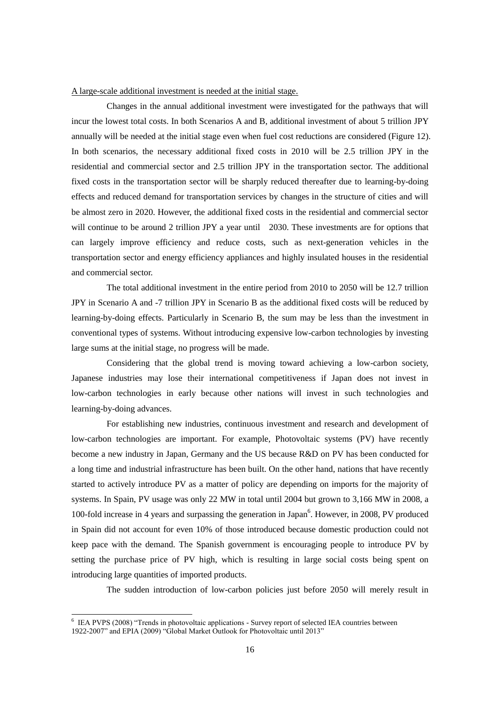#### A large-scale additional investment is needed at the initial stage.

Changes in the annual additional investment were investigated for the pathways that will incur the lowest total costs. In both Scenarios A and B, additional investment of about 5 trillion JPY annually will be needed at the initial stage even when fuel cost reductions are considered (Figure 12). In both scenarios, the necessary additional fixed costs in 2010 will be 2.5 trillion JPY in the residential and commercial sector and 2.5 trillion JPY in the transportation sector. The additional fixed costs in the transportation sector will be sharply reduced thereafter due to learning-by-doing effects and reduced demand for transportation services by changes in the structure of cities and will be almost zero in 2020. However, the additional fixed costs in the residential and commercial sector will continue to be around 2 trillion JPY a year until 2030. These investments are for options that can largely improve efficiency and reduce costs, such as next-generation vehicles in the transportation sector and energy efficiency appliances and highly insulated houses in the residential and commercial sector.

The total additional investment in the entire period from 2010 to 2050 will be 12.7 trillion JPY in Scenario A and -7 trillion JPY in Scenario B as the additional fixed costs will be reduced by learning-by-doing effects. Particularly in Scenario B, the sum may be less than the investment in conventional types of systems. Without introducing expensive low-carbon technologies by investing large sums at the initial stage, no progress will be made.

Considering that the global trend is moving toward achieving a low-carbon society, Japanese industries may lose their international competitiveness if Japan does not invest in low-carbon technologies in early because other nations will invest in such technologies and learning-by-doing advances.

For establishing new industries, continuous investment and research and development of low-carbon technologies are important. For example, Photovoltaic systems (PV) have recently become a new industry in Japan, Germany and the US because R&D on PV has been conducted for a long time and industrial infrastructure has been built. On the other hand, nations that have recently started to actively introduce PV as a matter of policy are depending on imports for the majority of systems. In Spain, PV usage was only 22 MW in total until 2004 but grown to 3,166 MW in 2008, a 100-fold increase in 4 years and surpassing the generation in Japan<sup>6</sup>. However, in 2008, PV produced in Spain did not account for even 10% of those introduced because domestic production could not keep pace with the demand. The Spanish government is encouraging people to introduce PV by setting the purchase price of PV high, which is resulting in large social costs being spent on introducing large quantities of imported products.

The sudden introduction of low-carbon policies just before 2050 will merely result in

-

<sup>&</sup>lt;sup>6</sup> IEA PVPS (2008) "Trends in photovoltaic applications - Survey report of selected IEA countries between 1922-2007" and EPIA (2009) "Global Market Outlook for Photovoltaic until 2013"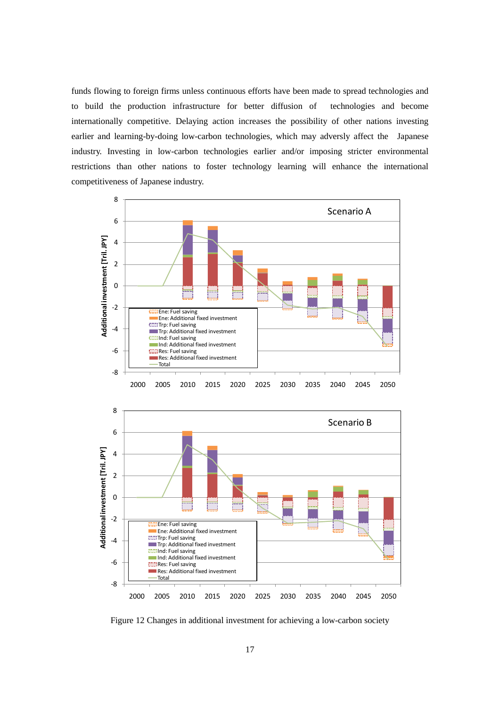funds flowing to foreign firms unless continuous efforts have been made to spread technologies and to build the production infrastructure for better diffusion of technologies and become internationally competitive. Delaying action increases the possibility of other nations investing earlier and learning-by-doing low-carbon technologies, which may adversly affect the Japanese industry. Investing in low-carbon technologies earlier and/or imposing stricter environmental restrictions than other nations to foster technology learning will enhance the international competitiveness of Japanese industry.



Figure 12 Changes in additional investment for achieving a low-carbon society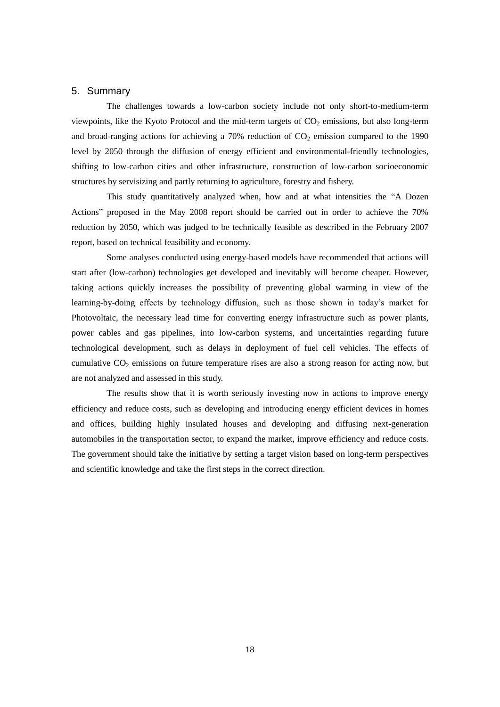## 5.Summary

The challenges towards a low-carbon society include not only short-to-medium-term viewpoints, like the Kyoto Protocol and the mid-term targets of  $CO<sub>2</sub>$  emissions, but also long-term and broad-ranging actions for achieving a 70% reduction of  $CO<sub>2</sub>$  emission compared to the 1990 level by 2050 through the diffusion of energy efficient and environmental-friendly technologies, shifting to low-carbon cities and other infrastructure, construction of low-carbon socioeconomic structures by servisizing and partly returning to agriculture, forestry and fishery.

This study quantitatively analyzed when, how and at what intensities the "A Dozen Actions" proposed in the May 2008 report should be carried out in order to achieve the 70% reduction by 2050, which was judged to be technically feasible as described in the February 2007 report, based on technical feasibility and economy.

Some analyses conducted using energy-based models have recommended that actions will start after (low-carbon) technologies get developed and inevitably will become cheaper. However, taking actions quickly increases the possibility of preventing global warming in view of the learning-by-doing effects by technology diffusion, such as those shown in today's market for Photovoltaic, the necessary lead time for converting energy infrastructure such as power plants, power cables and gas pipelines, into low-carbon systems, and uncertainties regarding future technological development, such as delays in deployment of fuel cell vehicles. The effects of cumulative  $CO<sub>2</sub>$  emissions on future temperature rises are also a strong reason for acting now, but are not analyzed and assessed in this study.

The results show that it is worth seriously investing now in actions to improve energy efficiency and reduce costs, such as developing and introducing energy efficient devices in homes and offices, building highly insulated houses and developing and diffusing next-generation automobiles in the transportation sector, to expand the market, improve efficiency and reduce costs. The government should take the initiative by setting a target vision based on long-term perspectives and scientific knowledge and take the first steps in the correct direction.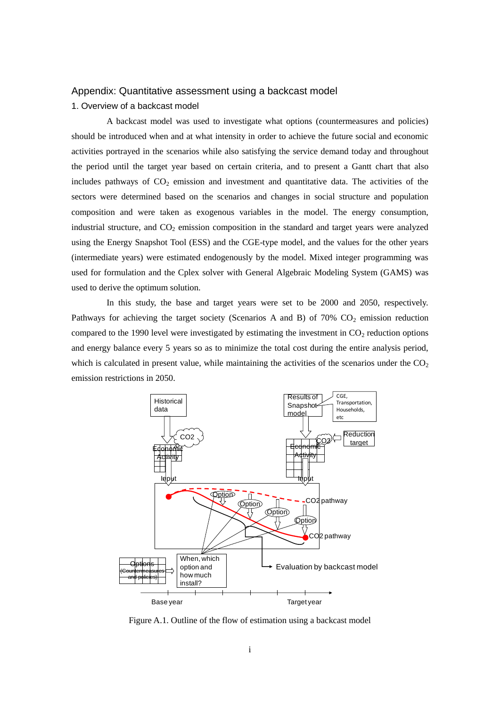#### Appendix: Quantitative assessment using a backcast model

#### 1. Overview of a backcast model

A backcast model was used to investigate what options (countermeasures and policies) should be introduced when and at what intensity in order to achieve the future social and economic activities portrayed in the scenarios while also satisfying the service demand today and throughout the period until the target year based on certain criteria, and to present a Gantt chart that also includes pathways of  $CO<sub>2</sub>$  emission and investment and quantitative data. The activities of the sectors were determined based on the scenarios and changes in social structure and population composition and were taken as exogenous variables in the model. The energy consumption, industrial structure, and  $CO<sub>2</sub>$  emission composition in the standard and target years were analyzed using the Energy Snapshot Tool (ESS) and the CGE-type model, and the values for the other years (intermediate years) were estimated endogenously by the model. Mixed integer programming was used for formulation and the Cplex solver with General Algebraic Modeling System (GAMS) was used to derive the optimum solution.

In this study, the base and target years were set to be 2000 and 2050, respectively. Pathways for achieving the target society (Scenarios A and B) of  $70\%$  CO<sub>2</sub> emission reduction compared to the 1990 level were investigated by estimating the investment in  $CO<sub>2</sub>$  reduction options and energy balance every 5 years so as to minimize the total cost during the entire analysis period, which is calculated in present value, while maintaining the activities of the scenarios under the  $CO<sub>2</sub>$ emission restrictions in 2050.



Figure A.1. Outline of the flow of estimation using a backcast model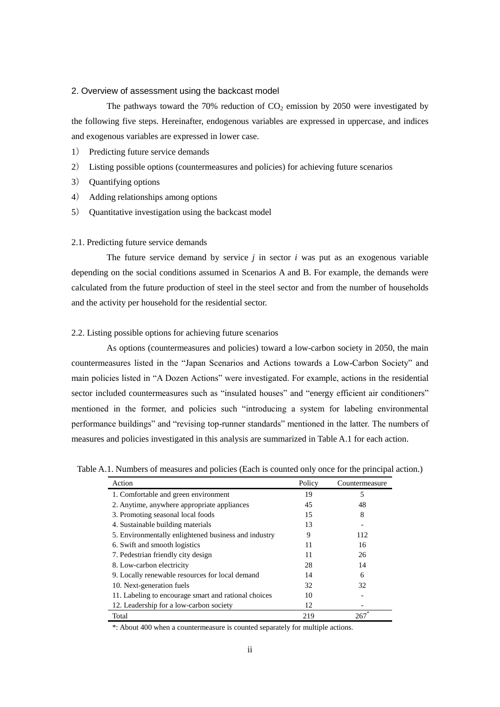#### 2. Overview of assessment using the backcast model

The pathways toward the 70% reduction of  $CO<sub>2</sub>$  emission by 2050 were investigated by the following five steps. Hereinafter, endogenous variables are expressed in uppercase, and indices and exogenous variables are expressed in lower case.

- 1) Predicting future service demands
- 2) Listing possible options (countermeasures and policies) for achieving future scenarios
- 3) Quantifying options
- 4) Adding relationships among options
- 5) Quantitative investigation using the backcast model

#### 2.1. Predicting future service demands

The future service demand by service *j* in sector *i* was put as an exogenous variable depending on the social conditions assumed in Scenarios A and B. For example, the demands were calculated from the future production of steel in the steel sector and from the number of households and the activity per household for the residential sector.

#### 2.2. Listing possible options for achieving future scenarios

As options (countermeasures and policies) toward a low-carbon society in 2050, the main countermeasures listed in the "Japan Scenarios and Actions towards a Low-Carbon Society" and main policies listed in "A Dozen Actions" were investigated. For example, actions in the residential sector included countermeasures such as "insulated houses" and "energy efficient air conditioners" mentioned in the former, and policies such "introducing a system for labeling environmental performance buildings" and "revising top-runner standards" mentioned in the latter. The numbers of measures and policies investigated in this analysis are summarized in Table A.1 for each action.

Table A.1. Numbers of measures and policies (Each is counted only once for the principal action.)

| Action                                               | Policy | Countermeasure |
|------------------------------------------------------|--------|----------------|
| 1. Comfortable and green environment                 | 19     | 5              |
| 2. Anytime, anywhere appropriate appliances          | 45     | 48             |
| 3. Promoting seasonal local foods                    | 15     | 8              |
| 4. Sustainable building materials                    | 13     |                |
| 5. Environmentally enlightened business and industry | 9      | 112            |
| 6. Swift and smooth logistics                        | 11     | 16             |
| 7. Pedestrian friendly city design                   | 11     | 26             |
| 8. Low-carbon electricity                            | 28     | 14             |
| 9. Locally renewable resources for local demand      | 14     | 6              |
| 10. Next-generation fuels                            | 32     | 32             |
| 11. Labeling to encourage smart and rational choices | 10     |                |
| 12. Leadership for a low-carbon society              | 12     |                |
| Total                                                | 219    | 267            |

\*: About 400 when a countermeasure is counted separately for multiple actions.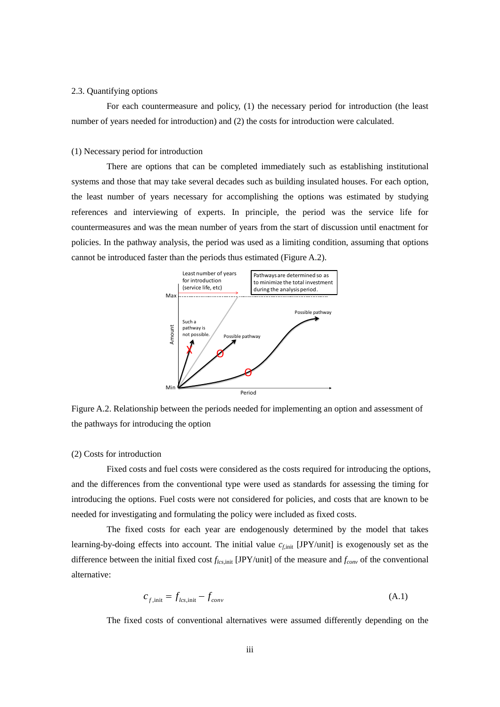#### 2.3. Quantifying options

For each countermeasure and policy, (1) the necessary period for introduction (the least number of years needed for introduction) and (2) the costs for introduction were calculated.

#### (1) Necessary period for introduction

There are options that can be completed immediately such as establishing institutional systems and those that may take several decades such as building insulated houses. For each option, the least number of years necessary for accomplishing the options was estimated by studying references and interviewing of experts. In principle, the period was the service life for countermeasures and was the mean number of years from the start of discussion until enactment for policies. In the pathway analysis, the period was used as a limiting condition, assuming that options cannot be introduced faster than the periods thus estimated (Figure A.2).



Figure A.2. Relationship between the periods needed for implementing an option and assessment of the pathways for introducing the option

#### (2) Costs for introduction

Fixed costs and fuel costs were considered as the costs required for introducing the options, and the differences from the conventional type were used as standards for assessing the timing for introducing the options. Fuel costs were not considered for policies, and costs that are known to be needed for investigating and formulating the policy were included as fixed costs.

The fixed costs for each year are endogenously determined by the model that takes learning-by-doing effects into account. The initial value  $c_{\text{finit}}$  [JPY/unit] is exogenously set as the difference between the initial fixed cost *flcs*,init [JPY/unit] of the measure and *fconv* of the conventional alternative:

$$
c_{f,\text{init}} = f_{lcs,\text{init}} - f_{conv} \tag{A.1}
$$

The fixed costs of conventional alternatives were assumed differently depending on the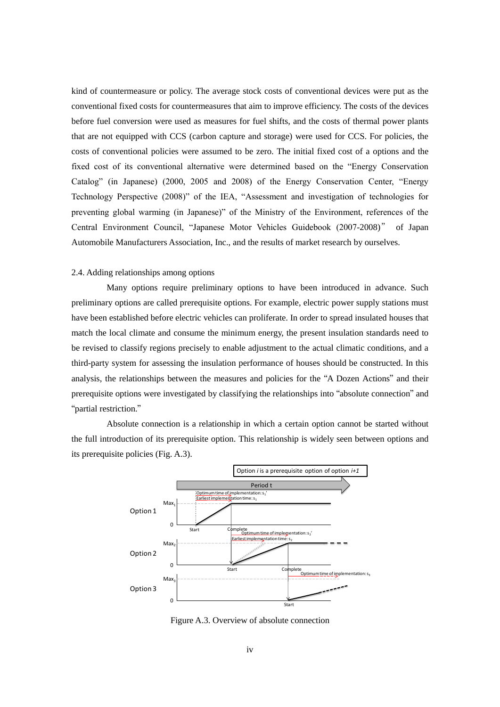kind of countermeasure or policy. The average stock costs of conventional devices were put as the conventional fixed costs for countermeasures that aim to improve efficiency. The costs of the devices before fuel conversion were used as measures for fuel shifts, and the costs of thermal power plants that are not equipped with CCS (carbon capture and storage) were used for CCS. For policies, the costs of conventional policies were assumed to be zero. The initial fixed cost of a options and the fixed cost of its conventional alternative were determined based on the "Energy Conservation Catalog" (in Japanese) (2000, 2005 and 2008) of the Energy Conservation Center, "Energy Technology Perspective (2008)" of the IEA, "Assessment and investigation of technologies for preventing global warming (in Japanese)" of the Ministry of the Environment, references of the Central Environment Council, "Japanese Motor Vehicles Guidebook (2007-2008)" of Japan Automobile Manufacturers Association, Inc., and the results of market research by ourselves.

#### 2.4. Adding relationships among options

Many options require preliminary options to have been introduced in advance. Such preliminary options are called prerequisite options. For example, electric power supply stations must have been established before electric vehicles can proliferate. In order to spread insulated houses that match the local climate and consume the minimum energy, the present insulation standards need to be revised to classify regions precisely to enable adjustment to the actual climatic conditions, and a third-party system for assessing the insulation performance of houses should be constructed. In this analysis, the relationships between the measures and policies for the "A Dozen Actions" and their prerequisite options were investigated by classifying the relationships into "absolute connection" and "partial restriction."

Absolute connection is a relationship in which a certain option cannot be started without the full introduction of its prerequisite option. This relationship is widely seen between options and its prerequisite policies (Fig. A.3).



Figure A.3. Overview of absolute connection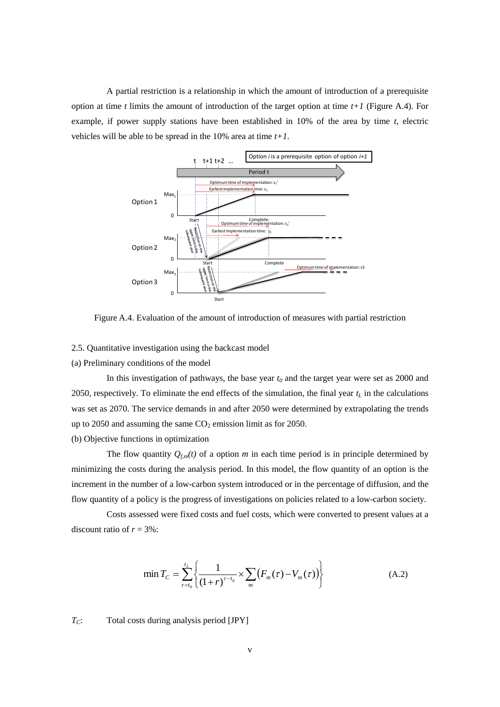A partial restriction is a relationship in which the amount of introduction of a prerequisite option at time *t* limits the amount of introduction of the target option at time *t+1* (Figure A.4). For example, if power supply stations have been established in 10% of the area by time *t*, electric vehicles will be able to be spread in the 10% area at time *t+1*.



Figure A.4. Evaluation of the amount of introduction of measures with partial restriction

2.5. Quantitative investigation using the backcast model

(a) Preliminary conditions of the model

In this investigation of pathways, the base year *t<sup>0</sup>* and the target year were set as 2000 and 2050, respectively. To eliminate the end effects of the simulation, the final year *t<sup>L</sup>* in the calculations was set as 2070. The service demands in and after 2050 were determined by extrapolating the trends up to 2050 and assuming the same  $CO<sub>2</sub>$  emission limit as for 2050.

(b) Objective functions in optimization

The flow quantity  $Q_{f,m}(t)$  of a option *m* in each time period is in principle determined by minimizing the costs during the analysis period. In this model, the flow quantity of an option is the increment in the number of a low-carbon system introduced or in the percentage of diffusion, and the flow quantity of a policy is the progress of investigations on policies related to a low-carbon society.

Costs assessed were fixed costs and fuel costs, which were converted to present values at a discount ratio of  $r = 3\%$ :

$$
\min T_C = \sum_{\tau=t_0}^{t_L} \left\{ \frac{1}{(1+r)^{\tau-t_0}} \times \sum_m \left( F_m(\tau) - V_m(\tau) \right) \right\} \tag{A.2}
$$

*TC*: Total costs during analysis period [JPY]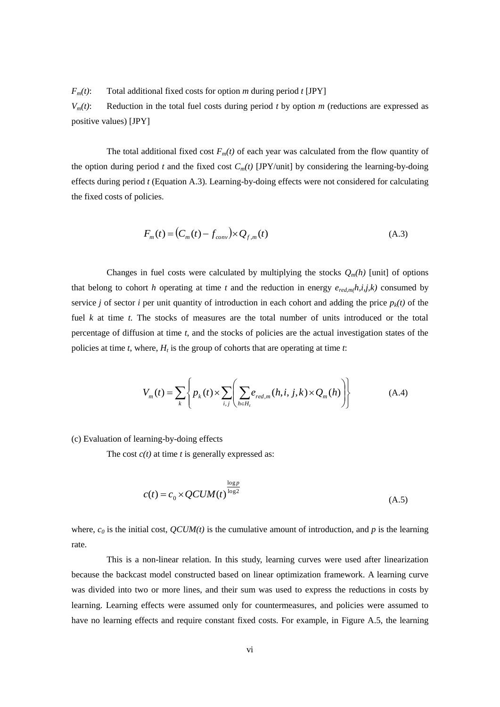$F_m(t)$ : Total additional fixed costs for option *m* during period *t* [JPY]

 $V_m(t)$ : Reduction in the total fuel costs during period *t* by option *m* (reductions are expressed as positive values) [JPY]

The total additional fixed cost  $F_m(t)$  of each year was calculated from the flow quantity of the option during period *t* and the fixed cost  $C_m(t)$  [JPY/unit] by considering the learning-by-doing effects during period *t* (Equation A.3). Learning-by-doing effects were not considered for calculating the fixed costs of policies.

$$
F_m(t) = (C_m(t) - f_{conv}) \times Q_{f,m}(t)
$$
\n(A.3)

Changes in fuel costs were calculated by multiplying the stocks  $Q_m(h)$  [unit] of options that belong to cohort *h* operating at time *t* and the reduction in energy  $e_{red,m}(h,i,j,k)$  consumed by service *j* of sector *i* per unit quantity of introduction in each cohort and adding the price  $p_k(t)$  of the fuel *k* at time *t*. The stocks of measures are the total number of units introduced or the total percentage of diffusion at time *t*, and the stocks of policies are the actual investigation states of the policies at time *t*, where, *H<sup>t</sup>* is the group of cohorts that are operating at time *t*:

$$
V_m(t) = \sum_{k} \left\{ p_k(t) \times \sum_{i,j} \left( \sum_{h \in H_i} e_{red,m}(h, i, j, k) \times Q_m(h) \right) \right\}
$$
(A.4)

#### (c) Evaluation of learning-by-doing effects

The cost *c(t)* at time *t* is generally expressed as:

$$
c(t) = c_0 \times QCUM(t)^{\frac{\log p}{\log 2}}
$$
\n(A.5)

where,  $c_0$  is the initial cost,  $QCUM(t)$  is the cumulative amount of introduction, and p is the learning rate.

This is a non-linear relation. In this study, learning curves were used after linearization because the backcast model constructed based on linear optimization framework. A learning curve was divided into two or more lines, and their sum was used to express the reductions in costs by learning. Learning effects were assumed only for countermeasures, and policies were assumed to have no learning effects and require constant fixed costs. For example, in Figure A.5, the learning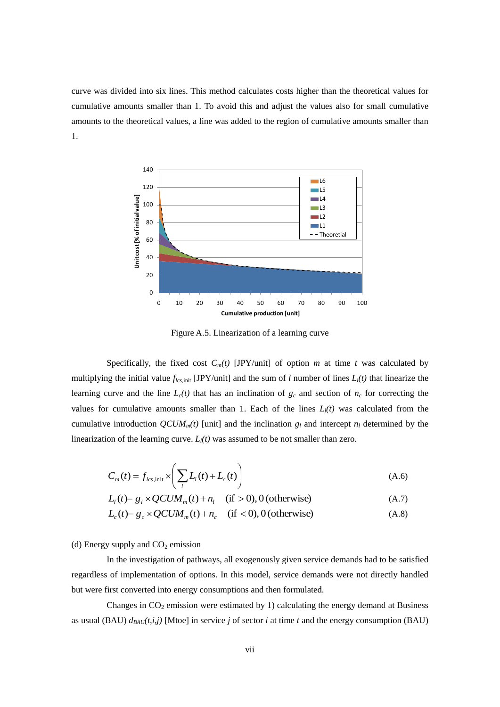curve was divided into six lines. This method calculates costs higher than the theoretical values for cumulative amounts smaller than 1. To avoid this and adjust the values also for small cumulative amounts to the theoretical values, a line was added to the region of cumulative amounts smaller than 1.



Figure A.5. Linearization of a learning curve

Specifically, the fixed cost  $C_m(t)$  [JPY/unit] of option *m* at time *t* was calculated by multiplying the initial value  $f_{lcs,init}$  [JPY/unit] and the sum of *l* number of lines  $L_l(t)$  that linearize the learning curve and the line  $L_c(t)$  that has an inclination of  $g_c$  and section of  $n_c$  for correcting the values for cumulative amounts smaller than 1. Each of the lines  $L_l(t)$  was calculated from the cumulative introduction  $QCUM_m(t)$  [unit] and the inclination  $g_l$  and intercept  $n_l$  determined by the linearization of the learning curve. *Ll(t)* was assumed to be not smaller than zero.

$$
C_m(t) = f_{lcs,init} \times \left(\sum_l L_l(t) + L_c(t)\right)
$$
\n(A.6)

$$
L_{l}(t) = g_{l} \times QCUM_{m}(t) + n_{l} \quad \text{(if} > 0), 0 \text{ (otherwise)}
$$
\n(A.7)

$$
L_c(t) = g_c \times QCUM_m(t) + n_c \quad \text{(if } < 0), 0 \text{ (otherwise)}
$$
 (A.8)

(d) Energy supply and  $CO<sub>2</sub>$  emission

In the investigation of pathways, all exogenously given service demands had to be satisfied regardless of implementation of options. In this model, service demands were not directly handled but were first converted into energy consumptions and then formulated.

Changes in  $CO<sub>2</sub>$  emission were estimated by 1) calculating the energy demand at Business as usual (BAU)  $d_{BAU}(t,i,j)$  [Mtoe] in service *j* of sector *i* at time *t* and the energy consumption (BAU)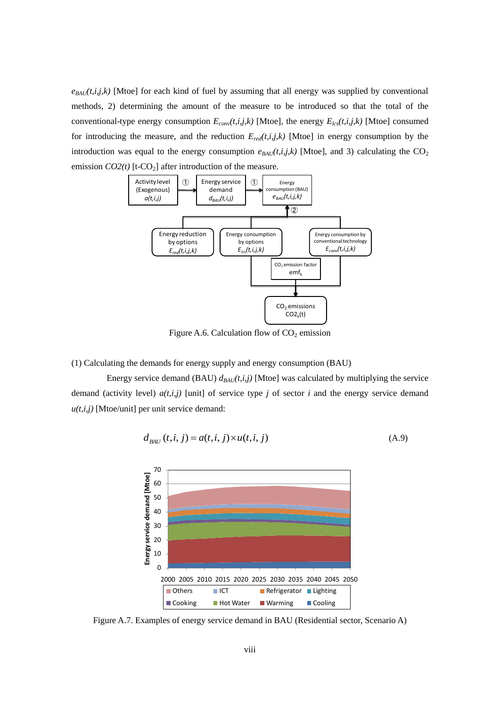$e_{BAU}(t,i,j,k)$  [Mtoe] for each kind of fuel by assuming that all energy was supplied by conventional methods, 2) determining the amount of the measure to be introduced so that the total of the conventional-type energy consumption  $E_{conv}(t,i,j,k)$  [Mtoe], the energy  $E_{lcs}(t,i,j,k)$  [Mtoe] consumed for introducing the measure, and the reduction  $E_{red}(t,i,j,k)$  [Mtoe] in energy consumption by the introduction was equal to the energy consumption  $e_{BAU}(t,i,j,k)$  [Mtoe], and 3) calculating the  $CO<sub>2</sub>$ emission  $CO2(t)$  [t-CO<sub>2</sub>] after introduction of the measure.



Figure A.6. Calculation flow of  $CO<sub>2</sub>$  emission

(1) Calculating the demands for energy supply and energy consumption (BAU)

Energy service demand (BAU)  $d_{BAU}(t,i,j)$  [Mtoe] was calculated by multiplying the service demand (activity level) *a(t,i,j)* [unit] of service type *j* of sector *i* and the energy service demand  $u(t,i,j)$  [Mtoe/unit] per unit service demand:

$$
d_{BAU}(t,i,j) = a(t,i,j) \times u(t,i,j)
$$
\n(A.9)



Figure A.7. Examples of energy service demand in BAU (Residential sector, Scenario A)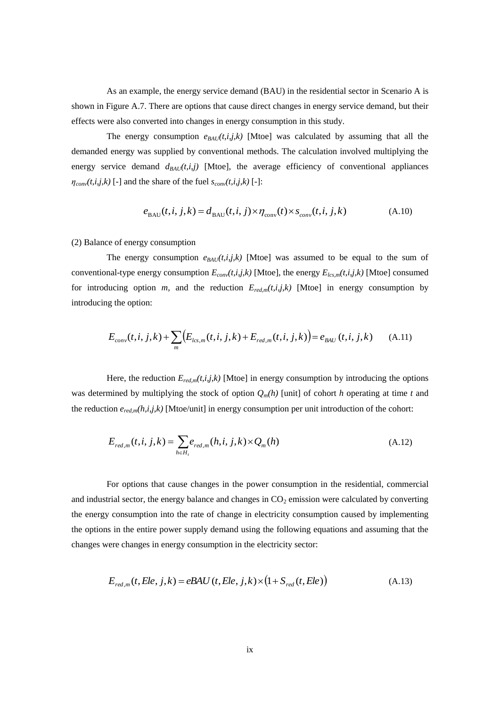As an example, the energy service demand (BAU) in the residential sector in Scenario A is shown in Figure A.7. There are options that cause direct changes in energy service demand, but their effects were also converted into changes in energy consumption in this study.

The energy consumption  $e_{BAU}(t,i,k)$  [Mtoe] was calculated by assuming that all the demanded energy was supplied by conventional methods. The calculation involved multiplying the energy service demand  $d_{BAU}(t,i,j)$  [Mtoe], the average efficiency of conventional appliances  $\eta_{conv}(t,i,j,k)$  [-] and the share of the fuel  $s_{conv}(t,i,j,k)$  [-]:

$$
e_{BAU}(t, i, j, k) = d_{BAU}(t, i, j) \times \eta_{conv}(t) \times s_{conv}(t, i, j, k)
$$
\n(A.10)

#### (2) Balance of energy consumption

The energy consumption  $e_{BAU}(t,i,j,k)$  [Mtoe] was assumed to be equal to the sum of conventional-type energy consumption  $E_{conv}(t,i,j,k)$  [Mtoe], the energy  $E_{lcs,m}(t,i,j,k)$  [Mtoe] consumed for introducing option  $m$ , and the reduction  $E_{red,m}(t,i,j,k)$  [Mtoe] in energy consumption by introducing the option:

$$
E_{conv}(t, i, j, k) + \sum_{m} \Bigl( E_{lcs,m}(t, i, j, k) + E_{red,m}(t, i, j, k) \Bigr) = e_{BAU}(t, i, j, k) \tag{A.11}
$$

Here, the reduction  $E_{red,m}(t,i,j,k)$  [Mtoe] in energy consumption by introducing the options was determined by multiplying the stock of option  $Q_m(h)$  [unit] of cohort *h* operating at time *t* and the reduction *ered,m(h,i,j,k)* [Mtoe/unit] in energy consumption per unit introduction of the cohort:

$$
E_{red,m}(t, i, j, k) = \sum_{h \in H_t} e_{red,m}(h, i, j, k) \times Q_m(h)
$$
\n(A.12)

For options that cause changes in the power consumption in the residential, commercial and industrial sector, the energy balance and changes in  $CO<sub>2</sub>$  emission were calculated by converting the energy consumption into the rate of change in electricity consumption caused by implementing the options in the entire power supply demand using the following equations and assuming that the changes were changes in energy consumption in the electricity sector:

$$
E_{red,m}(t, Ele, j, k) = eBAU(t, Ele, j, k) \times (1 + S_{red}(t, Ele))
$$
\n(A.13)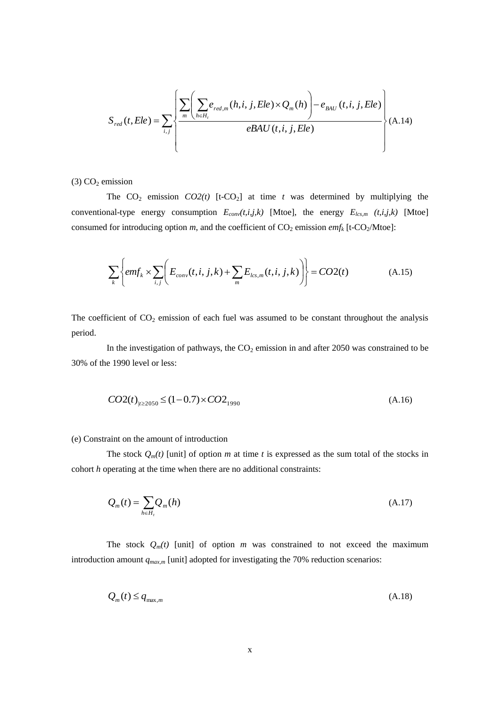$$
S_{red}(t, Ele) = \sum_{i,j} \left\{ \frac{\sum_{m} \left( \sum_{h \in H_i} e_{red,m}(h, i, j, Ele) \times Q_m(h) \right) - e_{BAU}(t, i, j, Ele)}{eBAU(t, i, j, Ele)} \right\} (A.14)
$$

 $(3)$  CO<sub>2</sub> emission

The  $CO_2$  emission  $CO2(t)$  [t-CO<sub>2</sub>] at time *t* was determined by multiplying the conventional-type energy consumption *Econv(t,i,j,k)* [Mtoe], the energy *Elcs,m (t,i,j,k)* [Mtoe] consumed for introducing option *m*, and the coefficient of  $CO_2$  emission *emf<sub>k</sub>* [t-CO<sub>2</sub>/Mtoe]:

$$
\sum_{k} \left\{ emf_k \times \sum_{i,j} \left( E_{conv}(t,i,j,k) + \sum_{m} E_{lcs,m}(t,i,j,k) \right) \right\} = CO2(t)
$$
\n(A.15)

The coefficient of  $CO_2$  emission of each fuel was assumed to be constant throughout the analysis period.

In the investigation of pathways, the  $CO<sub>2</sub>$  emission in and after 2050 was constrained to be 30% of the 1990 level or less:

$$
CO2(t)_{|t \ge 2050} \le (1 - 0.7) \times CO2_{1990}
$$
\n(A.16)

#### (e) Constraint on the amount of introduction

The stock  $Q_m(t)$  [unit] of option *m* at time *t* is expressed as the sum total of the stocks in cohort *h* operating at the time when there are no additional constraints:

$$
Q_m(t) = \sum_{h \in H_t} Q_m(h) \tag{A.17}
$$

The stock  $Q_m(t)$  [unit] of option *m* was constrained to not exceed the maximum introduction amount *qmax,m* [unit] adopted for investigating the 70% reduction scenarios:

$$
Q_m(t) \le q_{\max,m} \tag{A.18}
$$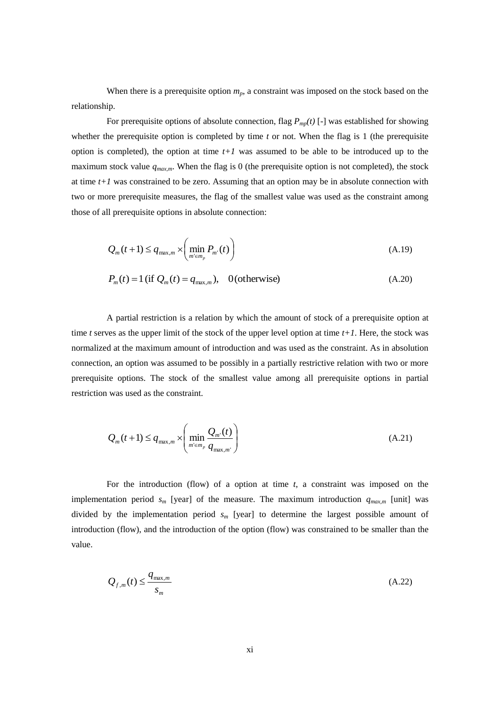When there is a prerequisite option  $m_p$ , a constraint was imposed on the stock based on the relationship.

For prerequisite options of absolute connection, flag  $P_{mp}(t)$  [-] was established for showing whether the prerequisite option is completed by time *t* or not. When the flag is 1 (the prerequisite option is completed), the option at time  $t+1$  was assumed to be able to be introduced up to the maximum stock value *qmax,m*. When the flag is 0 (the prerequisite option is not completed), the stock at time *t+1* was constrained to be zero. Assuming that an option may be in absolute connection with two or more prerequisite measures, the flag of the smallest value was used as the constraint among those of all prerequisite options in absolute connection:

$$
Q_m(t+1) \le q_{\max,m} \times \left(\min_{m' \in m_p} P_{m'}(t)\right)
$$
\n(A.19)

$$
P_m(t) = 1 \text{ (if } Q_m(t) = q_{\max,m}), \quad 0 \text{ (otherwise)}
$$
\n(A.20)

A partial restriction is a relation by which the amount of stock of a prerequisite option at time *t* serves as the upper limit of the stock of the upper level option at time  $t+1$ . Here, the stock was normalized at the maximum amount of introduction and was used as the constraint. As in absolution connection, an option was assumed to be possibly in a partially restrictive relation with two or more prerequisite options. The stock of the smallest value among all prerequisite options in partial restriction was used as the constraint.

$$
Q_m(t+1) \le q_{\max,m} \times \left( \min_{m' \in m_p} \frac{Q_{m'}(t)}{q_{\max,m'}} \right)
$$
(A.21)

For the introduction (flow) of a option at time *t*, a constraint was imposed on the implementation period  $s_m$  [year] of the measure. The maximum introduction  $q_{max,m}$  [unit] was divided by the implementation period *s<sup>m</sup>* [year] to determine the largest possible amount of introduction (flow), and the introduction of the option (flow) was constrained to be smaller than the value.

$$
Q_{f,m}(t) \le \frac{q_{\max,m}}{s_m} \tag{A.22}
$$